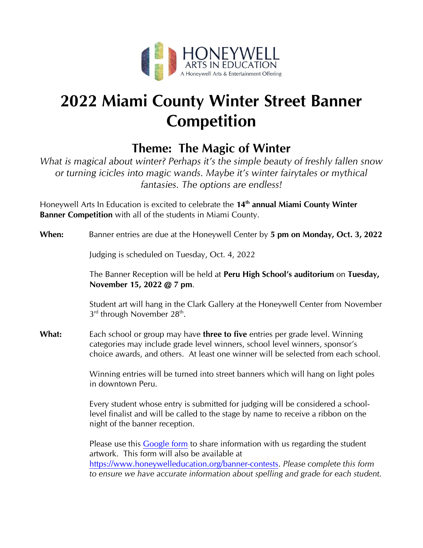

# **2022 Miami County Winter Street Banner Competition**

## **Theme: The Magic of Winter**

*What is magical about winter? Perhaps it's the simple beauty of freshly fallen snow or turning icicles into magic wands. Maybe it's winter fairytales or mythical fantasies. The options are endless!*

Honeywell Arts In Education is excited to celebrate the **14th annual Miami County Winter Banner Competition** with all of the students in Miami County.

### **When:** Banner entries are due at the Honeywell Center by **5 pm on Monday, Oct. 3, 2022**

Judging is scheduled on Tuesday, Oct. 4, 2022

The Banner Reception will be held at **Peru High School's auditorium** on **Tuesday, November 15, 2022 @ 7 pm**.

Student art will hang in the Clark Gallery at the Honeywell Center from November  $3^{\text{rd}}$  through November 28<sup>th</sup>.

**What:** Each school or group may have **three to five** entries per grade level. Winning categories may include grade level winners, school level winners, sponsor's choice awards, and others. At least one winner will be selected from each school.

> Winning entries will be turned into street banners which will hang on light poles in downtown Peru.

Every student whose entry is submitted for judging will be considered a schoollevel finalist and will be called to the stage by name to receive a ribbon on the night of the banner reception.

Please use this [Google form](https://docs.google.com/forms/d/e/1FAIpQLScZC_7l_S5RaF9bILl-DXKByfyrumX5YNV4BNtwOcB_PmouvQ/viewform) to share information with us regarding the student artwork. This form will also be available at [https://www.honeywelleducation.org/banner-contests.](https://www.honeywelleducation.org/banner-contests) *Please complete this form to ensure we have accurate information about spelling and grade for each student.*